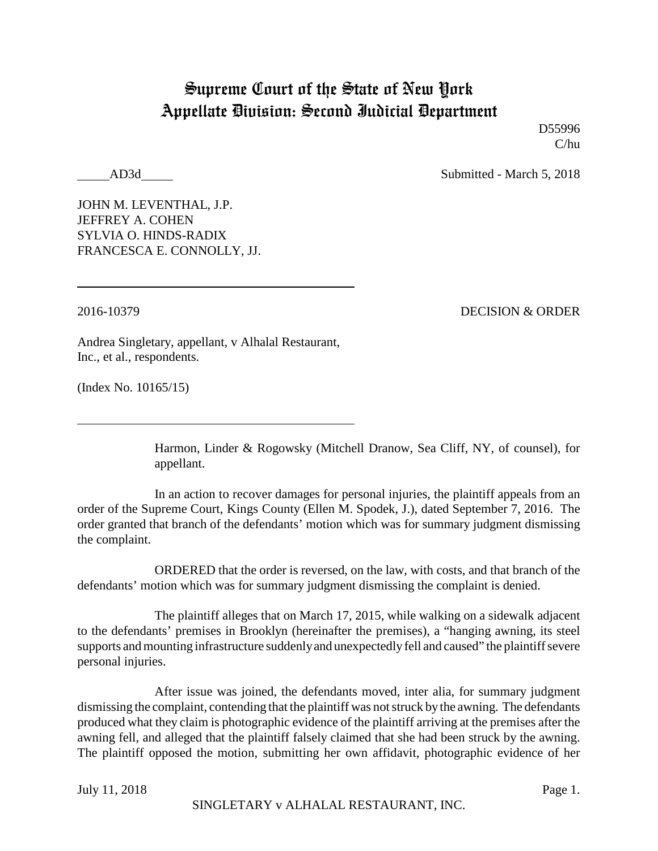## Supreme Court of the State of New York Appellate Division: Second Judicial Department

D55996 C/hu

AD3d Submitted - March 5, 2018

JOHN M. LEVENTHAL, J.P. JEFFREY A. COHEN SYLVIA O. HINDS-RADIX FRANCESCA E. CONNOLLY, JJ.

2016-10379 DECISION & ORDER

Andrea Singletary, appellant, v Alhalal Restaurant, Inc., et al., respondents.

(Index No. 10165/15)

Harmon, Linder & Rogowsky (Mitchell Dranow, Sea Cliff, NY, of counsel), for appellant.

In an action to recover damages for personal injuries, the plaintiff appeals from an order of the Supreme Court, Kings County (Ellen M. Spodek, J.), dated September 7, 2016. The order granted that branch of the defendants' motion which was for summary judgment dismissing the complaint.

ORDERED that the order is reversed, on the law, with costs, and that branch of the defendants' motion which was for summary judgment dismissing the complaint is denied.

The plaintiff alleges that on March 17, 2015, while walking on a sidewalk adjacent to the defendants' premises in Brooklyn (hereinafter the premises), a "hanging awning, its steel supports and mounting infrastructure suddenlyand unexpectedlyfell and caused" the plaintiff severe personal injuries.

After issue was joined, the defendants moved, inter alia, for summary judgment dismissing the complaint, contending that the plaintiff was not struck by the awning. The defendants produced what they claim is photographic evidence of the plaintiff arriving at the premises after the awning fell, and alleged that the plaintiff falsely claimed that she had been struck by the awning. The plaintiff opposed the motion, submitting her own affidavit, photographic evidence of her

July 11, 2018 Page 1.

SINGLETARY v ALHALAL RESTAURANT, INC.